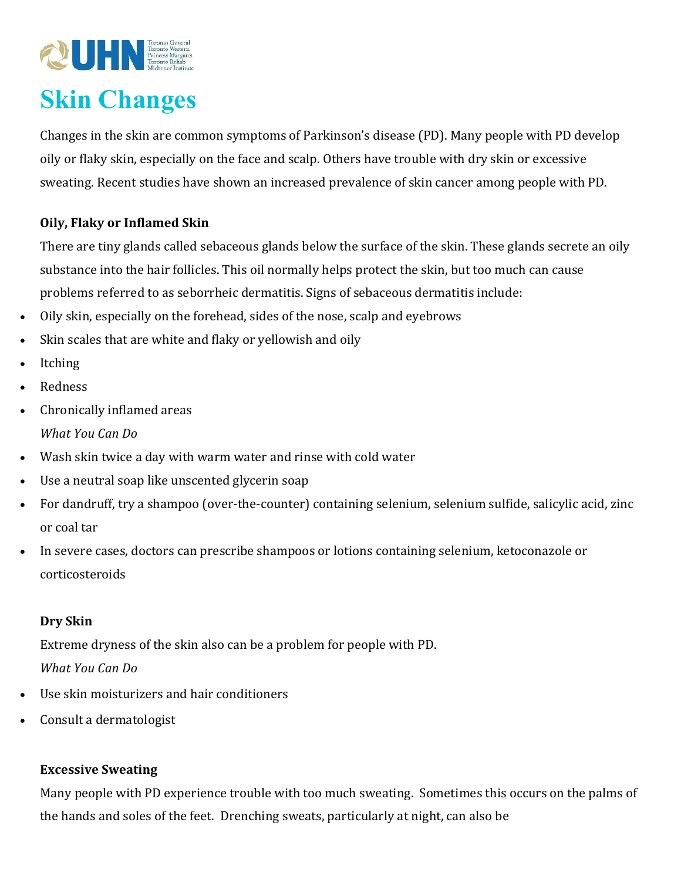

# **Skin Changes**

Changes in the skin are common symptoms of Parkinson's disease (PD). Many people with PD develop oily or flaky skin, especially on the face and scalp. Others have trouble with dry skin or excessive sweating. Recent studies have shown an increased prevalence of skin cancer among people with PD.

## **Oily, Flaky or Inflamed Skin**

There are tiny glands called sebaceous glands below the surface of the skin. These glands secrete an oily substance into the hair follicles. This oil normally helps protect the skin, but too much can cause problems referred to as seborrheic dermatitis. Signs of sebaceous dermatitis include:

- Oily skin, especially on the forehead, sides of the nose, scalp and eyebrows
- Skin scales that are white and flaky or yellowish and oily
- Itching
- Redness
- Chronically inflamed areas *What You Can Do*
- Wash skin twice a day with warm water and rinse with cold water
- Use a neutral soap like unscented glycerin soap
- For dandruff, try a shampoo (over-the-counter) containing selenium, selenium sulfide, salicylic acid, zinc or coal tar
- In severe cases, doctors can prescribe shampoos or lotions containing selenium, ketoconazole or corticosteroids

## **Dry Skin**

Extreme dryness of the skin also can be a problem for people with PD. *What You Can Do*

- Use skin moisturizers and hair conditioners
- Consult a dermatologist

## **Excessive Sweating**

Many people with PD experience trouble with too much sweating. Sometimes this occurs on the palms of the hands and soles of the feet. Drenching sweats, particularly at night, can also be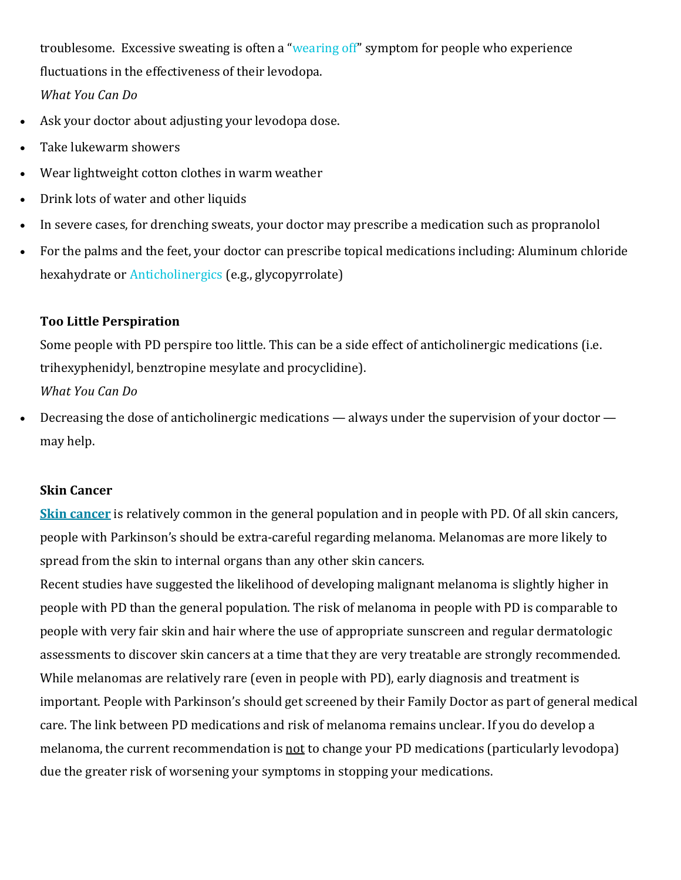troublesome. Excessive sweating is often a "wearing off" symptom for people who experience fluctuations in the effectiveness of their levodopa. *What You Can Do*

- Ask your doctor about adjusting your levodopa dose.
- Take lukewarm showers
- Wear lightweight cotton clothes in warm weather
- Drink lots of water and other liquids
- In severe cases, for drenching sweats, your doctor may prescribe a medication such as propranolol
- For the palms and the feet, your doctor can prescribe topical medications including: Aluminum chloride hexahydrate or Anticholinergics (e.g., glycopyrrolate)

#### **Too Little Perspiration**

Some people with PD perspire too little. This can be a side effect of anticholinergic medications (i.e. trihexyphenidyl, benztropine mesylate and procyclidine).

*What You Can Do*

• Decreasing the dose of anticholinergic medications — always under the supervision of your doctor may help.

#### **Skin Cancer**

**Skin cancer** is relatively common in the general population and in people with PD. Of all skin cancers, people with Parkinson's should be extra-careful regarding melanoma. Melanomas are more likely to spread from the skin to internal organs than any other skin cancers.

Recent studies have suggested the likelihood of developing malignant melanoma is slightly higher in people with PD than the general population. The risk of melanoma in people with PD is comparable to people with very fair skin and hair where the use of appropriate sunscreen and regular dermatologic assessments to discover skin cancers at a time that they are very treatable are strongly recommended. While melanomas are relatively rare (even in people with PD), early diagnosis and treatment is important. People with Parkinson's should get screened by their Family Doctor as part of general medical care. The link between PD medications and risk of melanoma remains unclear. If you do develop a melanoma, the current recommendation is not to change your PD medications (particularly levodopa) due the greater risk of worsening your symptoms in stopping your medications.